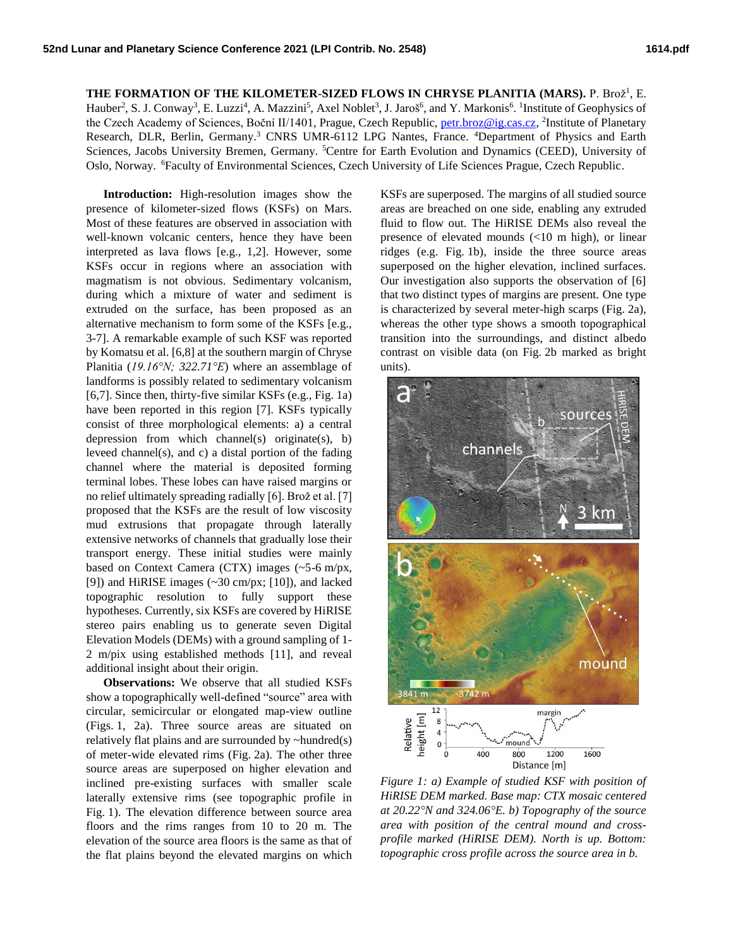## THE FORMATION OF THE KILOMETER-SIZED FLOWS IN CHRYSE PLANITIA (MARS). P. Brož<sup>1</sup>, E. Hauber<sup>2</sup>, S. J. Conway<sup>3</sup>, E. Luzzi<sup>4</sup>, A. Mazzini<sup>5</sup>, Axel Noblet<sup>3</sup>, J. Jaroš<sup>6</sup>, and Y. Markonis<sup>6</sup>. <sup>1</sup>Institute of Geophysics of the Czech Academy of Sciences, Boční II/1401, Prague, Czech Republic, [petr.broz@ig.cas.cz,](mailto:petr.broz@ig.cas.cz) <sup>2</sup>Institute of Planetary Research, DLR, Berlin, Germany. <sup>3</sup> CNRS UMR-6112 LPG Nantes, France. <sup>4</sup>Department of Physics and Earth

Sciences, Jacobs University Bremen, Germany. <sup>5</sup>Centre for Earth Evolution and Dynamics (CEED), University of Oslo, Norway. <sup>6</sup>Faculty of Environmental Sciences, Czech University of Life Sciences Prague, Czech Republic.

**Introduction:** High-resolution images show the presence of kilometer-sized flows (KSFs) on Mars. Most of these features are observed in association with well-known volcanic centers, hence they have been interpreted as lava flows [e.g., 1,2]. However, some KSFs occur in regions where an association with magmatism is not obvious. Sedimentary volcanism, during which a mixture of water and sediment is extruded on the surface, has been proposed as an alternative mechanism to form some of the KSFs [e.g., 3-7]. A remarkable example of such KSF was reported by Komatsu et al. [6,8] at the southern margin of Chryse Planitia (*19.16°N; 322.71°E*) where an assemblage of landforms is possibly related to sedimentary volcanism [6,7]. Since then, thirty-five similar KSFs (e.g., Fig. 1a) have been reported in this region [7]. KSFs typically consist of three morphological elements: a) a central depression from which channel(s) originate(s), b) leveed channel(s), and c) a distal portion of the fading channel where the material is deposited forming terminal lobes. These lobes can have raised margins or no relief ultimately spreading radially [6]. Brož et al. [7] proposed that the KSFs are the result of low viscosity mud extrusions that propagate through laterally extensive networks of channels that gradually lose their transport energy. These initial studies were mainly based on Context Camera (CTX) images (~5-6 m/px, [9]) and HiRISE images (~30 cm/px; [10]), and lacked topographic resolution to fully support these hypotheses. Currently, six KSFs are covered by HiRISE stereo pairs enabling us to generate seven Digital Elevation Models (DEMs) with a ground sampling of 1- 2 m/pix using established methods [11], and reveal additional insight about their origin.

**Observations:** We observe that all studied KSFs show a topographically well-defined "source" area with circular, semicircular or elongated map-view outline (Figs. 1, 2a). Three source areas are situated on relatively flat plains and are surrounded by  $\sim$ hundred $(s)$ of meter-wide elevated rims (Fig. 2a). The other three source areas are superposed on higher elevation and inclined pre-existing surfaces with smaller scale laterally extensive rims (see topographic profile in Fig. 1). The elevation difference between source area floors and the rims ranges from 10 to 20 m. The elevation of the source area floors is the same as that of the flat plains beyond the elevated margins on which

KSFs are superposed. The margins of all studied source areas are breached on one side, enabling any extruded fluid to flow out. The HiRISE DEMs also reveal the presence of elevated mounds (<10 m high), or linear ridges (e.g. Fig. 1b), inside the three source areas superposed on the higher elevation, inclined surfaces. Our investigation also supports the observation of [6] that two distinct types of margins are present. One type is characterized by several meter-high scarps (Fig. 2a), whereas the other type shows a smooth topographical transition into the surroundings, and distinct albedo contrast on visible data (on Fig. 2b marked as bright units).



*Figure 1: a) Example of studied KSF with position of HiRISE DEM marked. Base map: CTX mosaic centered at 20.22°N and 324.06°E. b) Topography of the source area with position of the central mound and crossprofile marked (HiRISE DEM). North is up. Bottom: topographic cross profile across the source area in b.*